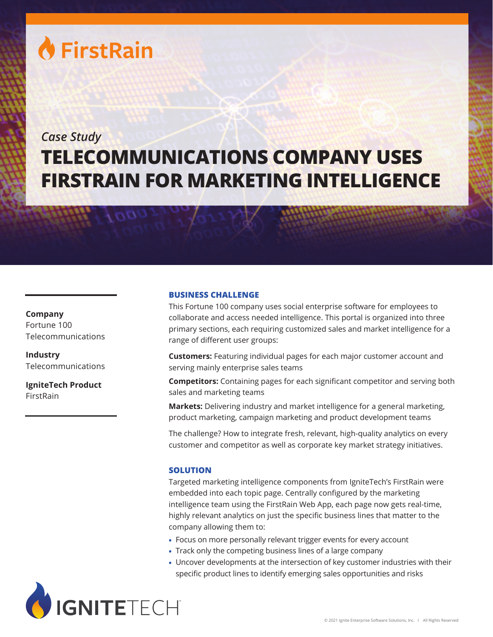# **A** FirstRain

# *Case Study* **TELECOMMUNICATIONS COMPANY USES FIRSTRAIN FOR MARKETING INTELLIGENCE**

## **Company** Fortune 100 Telecommunications

**Industry** Telecommunications

**IgniteTech Product** FirstRain

## **BUSINESS CHALLENGE**

This Fortune 100 company uses social enterprise software for employees to collaborate and access needed intelligence. This portal is organized into three primary sections, each requiring customized sales and market intelligence for a range of different user groups:

**Customers:** Featuring individual pages for each major customer account and serving mainly enterprise sales teams

**Competitors:** Containing pages for each significant competitor and serving both sales and marketing teams

**Markets:** Delivering industry and market intelligence for a general marketing, product marketing, campaign marketing and product development teams

The challenge? How to integrate fresh, relevant, high-quality analytics on every customer and competitor as well as corporate key market strategy initiatives.

## **SOLUTION**

Targeted marketing intelligence components from IgniteTech's FirstRain were embedded into each topic page. Centrally configured by the marketing intelligence team using the FirstRain Web App, each page now gets real-time, highly relevant analytics on just the specific business lines that matter to the company allowing them to:

- Focus on more personally relevant trigger events for every account
- Track only the competing business lines of a large company
- Uncover developments at the intersection of key customer industries with their specific product lines to identify emerging sales opportunities and risks